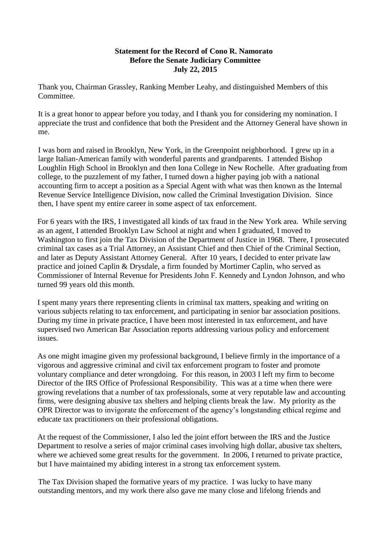## **Statement for the Record of Cono R. Namorato Before the Senate Judiciary Committee July 22, 2015**

Thank you, Chairman Grassley, Ranking Member Leahy, and distinguished Members of this Committee.

It is a great honor to appear before you today, and I thank you for considering my nomination. I appreciate the trust and confidence that both the President and the Attorney General have shown in me.

I was born and raised in Brooklyn, New York, in the Greenpoint neighborhood. I grew up in a large Italian-American family with wonderful parents and grandparents. I attended Bishop Loughlin High School in Brooklyn and then Iona College in New Rochelle. After graduating from college, to the puzzlement of my father, I turned down a higher paying job with a national accounting firm to accept a position as a Special Agent with what was then known as the Internal Revenue Service Intelligence Division, now called the Criminal Investigation Division. Since then, I have spent my entire career in some aspect of tax enforcement.

For 6 years with the IRS, I investigated all kinds of tax fraud in the New York area. While serving as an agent, I attended Brooklyn Law School at night and when I graduated, I moved to Washington to first join the Tax Division of the Department of Justice in 1968. There, I prosecuted criminal tax cases as a Trial Attorney, an Assistant Chief and then Chief of the Criminal Section, and later as Deputy Assistant Attorney General. After 10 years, I decided to enter private law practice and joined Caplin & Drysdale, a firm founded by Mortimer Caplin, who served as Commissioner of Internal Revenue for Presidents John F. Kennedy and Lyndon Johnson, and who turned 99 years old this month.

I spent many years there representing clients in criminal tax matters, speaking and writing on various subjects relating to tax enforcement, and participating in senior bar association positions. During my time in private practice, I have been most interested in tax enforcement, and have supervised two American Bar Association reports addressing various policy and enforcement issues.

As one might imagine given my professional background, I believe firmly in the importance of a vigorous and aggressive criminal and civil tax enforcement program to foster and promote voluntary compliance and deter wrongdoing. For this reason, in 2003 I left my firm to become Director of the IRS Office of Professional Responsibility. This was at a time when there were growing revelations that a number of tax professionals, some at very reputable law and accounting firms, were designing abusive tax shelters and helping clients break the law. My priority as the OPR Director was to invigorate the enforcement of the agency's longstanding ethical regime and educate tax practitioners on their professional obligations.

At the request of the Commissioner, I also led the joint effort between the IRS and the Justice Department to resolve a series of major criminal cases involving high dollar, abusive tax shelters, where we achieved some great results for the government. In 2006, I returned to private practice, but I have maintained my abiding interest in a strong tax enforcement system.

The Tax Division shaped the formative years of my practice. I was lucky to have many outstanding mentors, and my work there also gave me many close and lifelong friends and